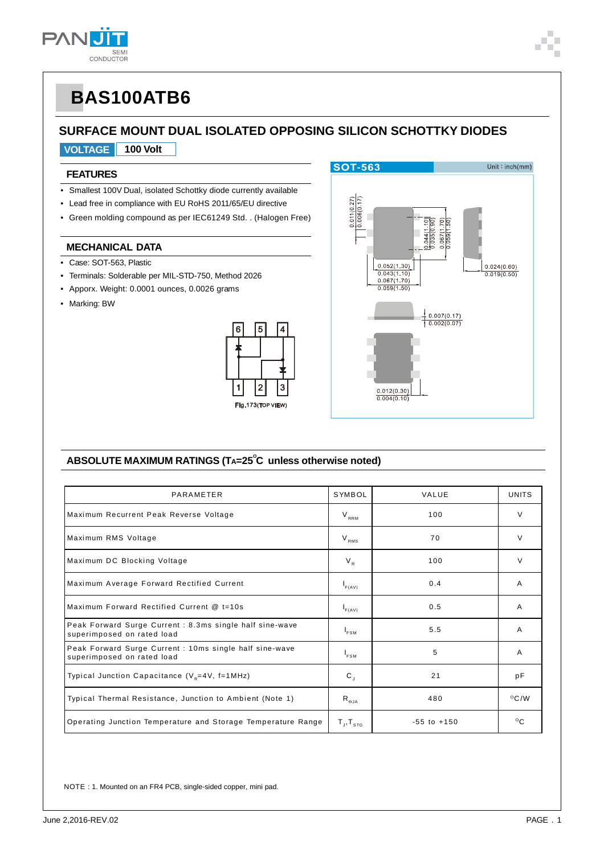

## **SURFACE MOUNT DUAL ISOLATED OPPOSING SILICON SCHOTTKY DIODES**

### **VOLTAGE 100 Volt**

### **FEATURES**

- Smallest 100V Dual, isolated Schottky diode currently available
- Lead free in compliance with EU RoHS 2011/65/EU directive
- Green molding compound as per IEC61249 Std. . (Halogen Free)

#### **MECHANICAL DATA**

- Case: SOT-563, Plastic
- Terminals: Solderable per MIL-STD-750, Method 2026
- Apporx. Weight: 0.0001 ounces, 0.0026 grams
- Marking: BW





### <code>ABSOLUTE</code> MAXIMUM RATINGS (T<code>A=25 $^\circ$ C</code> unless otherwise noted)

| PARAMETER                                                                              | SYMBOL                      | VALUE           | <b>UNITS</b>   |
|----------------------------------------------------------------------------------------|-----------------------------|-----------------|----------------|
| Maximum Recurrent Peak Reverse Voltage                                                 | $V_{RRM}$                   | 100             | $\vee$         |
| Maximum RMS Voltage                                                                    | $V_{RMS}$                   | 70              | $\vee$         |
| Maximum DC Blocking Voltage                                                            | $V_{R}$                     | 100             | $\vee$         |
| Maximum Average Forward Rectified Current                                              | $I_{F(AV)}$                 | 0.4             | A              |
| Maximum Forward Rectified Current @ t=10s                                              | $I_{F(AV)}$                 | 0.5             | A              |
| Peak Forward Surge Current : 8.3ms single half sine-wave<br>superimposed on rated load | $I_{FSM}$                   | 5.5             | A              |
| Peak Forward Surge Current : 10ms single half sine-wave<br>superimposed on rated load  | $I_{FSM}$                   | 5               | A              |
| Typical Junction Capacitance ( $V_p=4V$ , f=1MHz)                                      | $\mathbf{C}_{\perp}$        | 21              | рF             |
| Typical Thermal Resistance, Junction to Ambient (Note 1)                               | $R_{\theta,IA}$             | 480             | $^{\circ}$ C/W |
| Operating Junction Temperature and Storage Temperature Range                           | $T_{\rm J}$ , $T_{\rm src}$ | $-55$ to $+150$ | $^{\circ}$ C   |

NOTE : 1. Mounted on an FR4 PCB, single-sided copper, mini pad.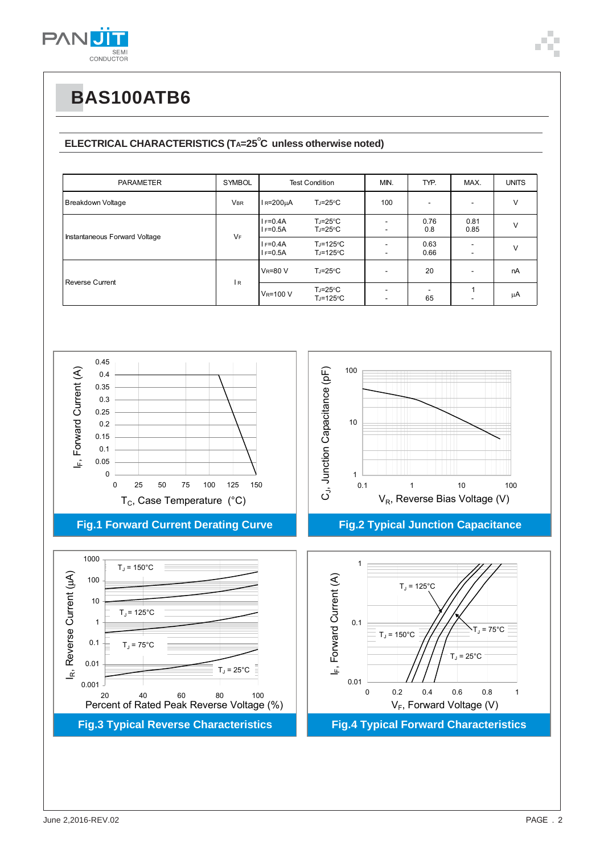

### ELECTRICAL CHARACTERISTICS (TA=25<sup>°</sup>C unless otherwise noted)

| <b>PARAMETER</b>              | <b>SYMBOL</b> | <b>Test Condition</b>      |                                            | MIN.                     | TYP.         | MAX.                                                 | <b>UNITS</b> |
|-------------------------------|---------------|----------------------------|--------------------------------------------|--------------------------|--------------|------------------------------------------------------|--------------|
| Breakdown Voltage             | <b>VBR</b>    | $IR=200µA$                 | $T_J = 25^{\circ}C$                        | 100                      |              | $\overline{\phantom{a}}$                             | V            |
| Instantaneous Forward Voltage | <b>VF</b>     | $I = 0.4A$<br>$I = 0.5A$   | $T_J = 25^{\circ}C$<br>$T_J = 25^{\circ}C$ | ۰.                       | 0.76<br>0.8  | 0.81<br>0.85                                         |              |
|                               |               | $I = 0.4A$<br>$I = 0.5A$   | $T_J = 125$ °C<br>TJ=125°C                 |                          | 0.63<br>0.66 | $\overline{\phantom{a}}$<br>$\overline{\phantom{a}}$ | v            |
| Reverse Current               | I R           | <b>V<sub>R</sub>=80 V</b>  | $T_J = 25^{\circ}C$                        |                          | 20           | ٠.                                                   | nA           |
|                               |               | <b>V<sub>R</sub>=100 V</b> | $T_J = 25^{\circ}C$<br>TJ=125°C            | $\overline{\phantom{a}}$ | 65           |                                                      | μA           |

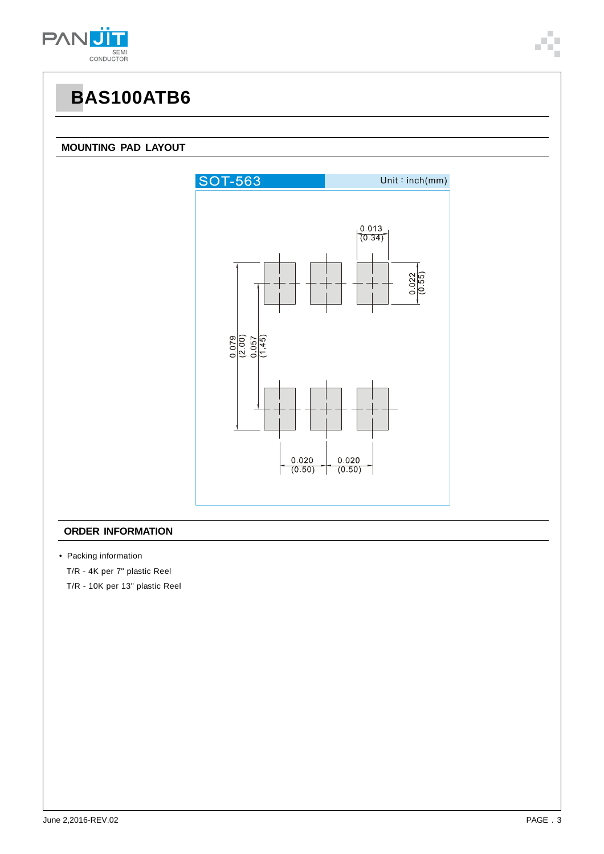

#### **MOUNTING PAD LAYOUT**



#### **ORDER INFORMATION**

• Packing information

T/R - 4K per 7" plastic Reel

T/R - 10K per 13" plastic Reel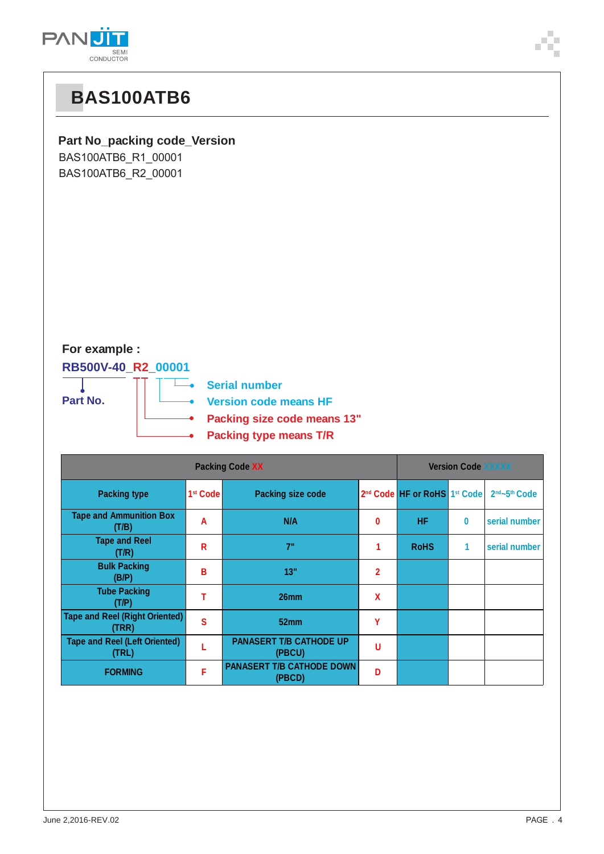



**Packing type means T/R**

| <b>Packing Code XX</b>                         |                      |                                            |                |                                                      | <b>Version Code XXXXX</b> |               |  |  |
|------------------------------------------------|----------------------|--------------------------------------------|----------------|------------------------------------------------------|---------------------------|---------------|--|--|
| <b>Packing type</b>                            | 1 <sup>st</sup> Code | <b>Packing size code</b>                   |                | 2 <sup>nd</sup> Code HF or RoHS 1 <sup>st</sup> Code |                           | 2nd~5th Code  |  |  |
| <b>Tape and Ammunition Box</b><br>(T/B)        | A                    | N/A                                        | 0              | <b>HF</b>                                            | 0                         | serial number |  |  |
| <b>Tape and Reel</b><br>(T/R)                  | R                    | 7"                                         |                | <b>RoHS</b>                                          | 1                         | serial number |  |  |
| <b>Bulk Packing</b><br>(B/P)                   | В                    | 13"                                        | $\overline{2}$ |                                                      |                           |               |  |  |
| <b>Tube Packing</b><br>(T/P)                   | т                    | 26 <sub>mm</sub>                           | X              |                                                      |                           |               |  |  |
| <b>Tape and Reel (Right Oriented)</b><br>(TRR) | S                    | 52mm                                       | Υ              |                                                      |                           |               |  |  |
| <b>Tape and Reel (Left Oriented)</b><br>(TRL)  |                      | <b>PANASERT T/B CATHODE UP</b><br>(PBCU)   | U              |                                                      |                           |               |  |  |
| <b>FORMING</b>                                 | F                    | <b>PANASERT T/B CATHODE DOWN</b><br>(PBCD) | D              |                                                      |                           |               |  |  |